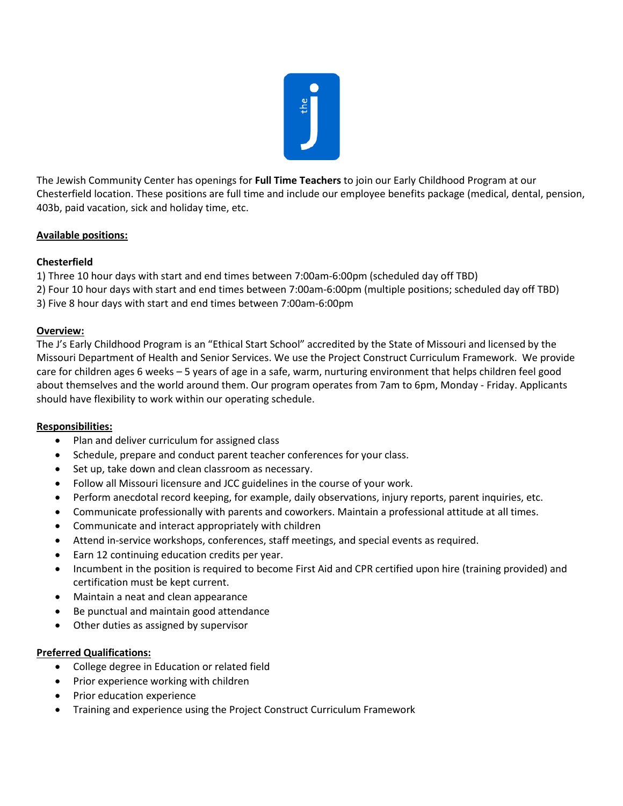

The Jewish Community Center has openings for **Full Time Teachers** to join our Early Childhood Program at our Chesterfield location. These positions are full time and include our employee benefits package (medical, dental, pension, 403b, paid vacation, sick and holiday time, etc.

# **Available positions:**

### **Chesterfield**

- 1) Three 10 hour days with start and end times between 7:00am-6:00pm (scheduled day off TBD)
- 2) Four 10 hour days with start and end times between 7:00am-6:00pm (multiple positions; scheduled day off TBD)
- 3) Five 8 hour days with start and end times between 7:00am-6:00pm

#### **Overview:**

The J's Early Childhood Program is an "Ethical Start School" accredited by the State of Missouri and licensed by the Missouri Department of Health and Senior Services. We use the Project Construct Curriculum Framework. We provide care for children ages 6 weeks – 5 years of age in a safe, warm, nurturing environment that helps children feel good about themselves and the world around them. Our program operates from 7am to 6pm, Monday - Friday. Applicants should have flexibility to work within our operating schedule.

#### **Responsibilities:**

- Plan and deliver curriculum for assigned class
- Schedule, prepare and conduct parent teacher conferences for your class.
- Set up, take down and clean classroom as necessary.
- Follow all Missouri licensure and JCC guidelines in the course of your work.
- Perform anecdotal record keeping, for example, daily observations, injury reports, parent inquiries, etc.
- Communicate professionally with parents and coworkers. Maintain a professional attitude at all times.
- Communicate and interact appropriately with children
- Attend in-service workshops, conferences, staff meetings, and special events as required.
- Earn 12 continuing education credits per year.
- Incumbent in the position is required to become First Aid and CPR certified upon hire (training provided) and certification must be kept current.
- Maintain a neat and clean appearance
- Be punctual and maintain good attendance
- Other duties as assigned by supervisor

#### **Preferred Qualifications:**

- College degree in Education or related field
- Prior experience working with children
- Prior education experience
- Training and experience using the Project Construct Curriculum Framework